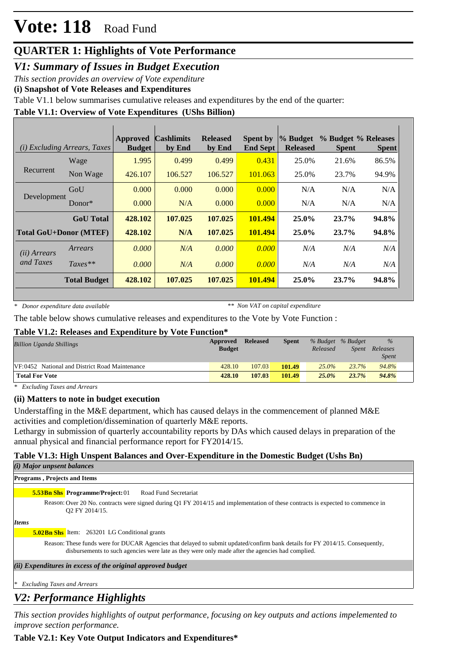# **Vote: 118** Road Fund

## **QUARTER 1: Highlights of Vote Performance**

*V1: Summary of Issues in Budget Execution*

*This section provides an overview of Vote expenditure* 

**(i) Snapshot of Vote Releases and Expenditures**

Table V1.1 below summarises cumulative releases and expenditures by the end of the quarter:

### **Table V1.1: Overview of Vote Expenditures (UShs Billion)**

|                               | (i) Excluding Arrears, Taxes | <b>Approved</b><br><b>Budget</b> | <b>Cashlimits</b><br>by End | <b>Released</b><br>by End | <b>Spent by</b><br><b>End Sept</b> | $\%$ Budget<br><b>Released</b> | % Budget % Releases<br><b>Spent</b> | <b>Spent</b> |
|-------------------------------|------------------------------|----------------------------------|-----------------------------|---------------------------|------------------------------------|--------------------------------|-------------------------------------|--------------|
|                               | Wage                         | 1.995                            | 0.499                       | 0.499                     | 0.431                              | 25.0%                          | 21.6%                               | 86.5%        |
| Recurrent                     | Non Wage                     | 426.107                          | 106.527                     | 106.527                   | 101.063                            | 25.0%                          | 23.7%                               | 94.9%        |
| Development                   | GoU                          | 0.000                            | 0.000                       | 0.000                     | 0.000                              | N/A                            | N/A                                 | N/A          |
|                               | $Donor*$                     | 0.000                            | N/A                         | 0.000                     | 0.000                              | N/A                            | N/A                                 | N/A          |
|                               | <b>GoU</b> Total             | 428.102                          | 107.025                     | 107.025                   | 101.494                            | $25.0\%$                       | 23.7%                               | 94.8%        |
| <b>Total GoU+Donor (MTEF)</b> |                              | 428.102                          | N/A                         | 107.025                   | 101.494                            | 25.0%                          | 23.7%                               | 94.8%        |
| (ii) Arrears                  | Arrears                      | 0.000                            | N/A                         | 0.000                     | 0.000                              | N/A                            | N/A                                 | N/A          |
| and Taxes                     | $Taxes**$                    | 0.000                            | N/A                         | 0.000                     | 0.000                              | N/A                            | N/A                                 | N/A          |
|                               | <b>Total Budget</b>          | 428.102                          | 107.025                     | 107.025                   | 101.494                            | $25.0\%$                       | 23.7%                               | 94.8%        |

*\* Donor expenditure data available*

*\*\* Non VAT on capital expenditure*

The table below shows cumulative releases and expenditures to the Vote by Vote Function :

### **Table V1.2: Releases and Expenditure by Vote Function\***

| <b>Billion Uganda Shillings</b>                | Approved<br><b>Budget</b> | <b>Released</b> | <b>Spent</b> | % Budget % Budget<br>Released | <i>Spent</i> | $\%$<br>Releases<br><i>Spent</i> |
|------------------------------------------------|---------------------------|-----------------|--------------|-------------------------------|--------------|----------------------------------|
| VF:0452 National and District Road Maintenance | 428.10                    | 107.03          | 101.49       | $25.0\%$                      | 23.7%        | 94.8%                            |
| <b>Total For Vote</b>                          | 428.10                    | 107.03          | 101.49       | $25.0\%$                      | 23.7%        | 94.8%                            |

*\* Excluding Taxes and Arrears*

### **(ii) Matters to note in budget execution**

Understaffing in the M&E department, which has caused delays in the commencement of planned M&E activities and completion/dissemination of quarterly M&E reports.

Lethargy in submission of quarterly accountability reports by DAs which caused delays in preparation of the annual physical and financial performance report for FY2014/15.

### **Table V1.3: High Unspent Balances and Over-Expenditure in the Domestic Budget (Ushs Bn)**

| ( <i>i</i> ) Major unpsent balances                                                                                                                                                                                               |
|-----------------------------------------------------------------------------------------------------------------------------------------------------------------------------------------------------------------------------------|
| <b>Programs, Projects and Items</b>                                                                                                                                                                                               |
| <b>5.53Bn Shs Programme/Project: 01</b><br>Road Fund Secretariat                                                                                                                                                                  |
| Reason: Over 20 No. contracts were signed during Q1 FY 2014/15 and implementation of these contracts is expected to commence in<br>O2 FY 2014/15.                                                                                 |
| <i>Items</i>                                                                                                                                                                                                                      |
| <b>5.02Bn Shs</b> Item: 263201 LG Conditional grants                                                                                                                                                                              |
| Reason: These funds were for DUCAR Agencies that delayed to submit updated/confirm bank details for FY 2014/15. Consequently,<br>disbursements to such agencies were late as they were only made after the agencies had complied. |
| (ii) Expenditures in excess of the original approved budget                                                                                                                                                                       |
| <b>Excluding Taxes and Arrears</b>                                                                                                                                                                                                |
|                                                                                                                                                                                                                                   |

## *V2: Performance Highlights*

*This section provides highlights of output performance, focusing on key outputs and actions impelemented to improve section performance.*

### **Table V2.1: Key Vote Output Indicators and Expenditures\***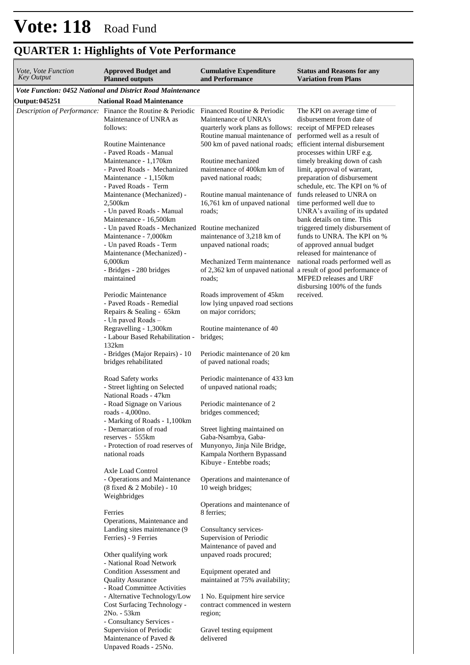| <i>Vote, Vote Function</i><br>Key Output | <b>Approved Budget and</b><br><b>Planned outputs</b>                                                                               | <b>Cumulative Expenditure</b><br>and Performance                                                         | <b>Status and Reasons for any</b><br><b>Variation from Plans</b>                                                             |
|------------------------------------------|------------------------------------------------------------------------------------------------------------------------------------|----------------------------------------------------------------------------------------------------------|------------------------------------------------------------------------------------------------------------------------------|
|                                          | Vote Function: 0452 National and District Road Maintenance                                                                         |                                                                                                          |                                                                                                                              |
| Output: 045251                           | <b>National Road Maintenance</b>                                                                                                   |                                                                                                          |                                                                                                                              |
|                                          | Description of Performance: Finance the Routine & Periodic Financed Routine & Periodic<br>Maintenance of UNRA as<br>follows:       | Maintenance of UNRA's<br>quarterly work plans as follows: receipt of MFPED releases                      | The KPI on average time of<br>disbursement from date of                                                                      |
|                                          | Routine Maintenance<br>- Paved Roads - Manual                                                                                      | Routine manual maintenance of<br>500 km of paved national roads; efficient internal disbursement         | performed well as a result of<br>processes within URF e.g.                                                                   |
|                                          | Maintenance - 1,170km<br>- Paved Roads - Mechanized<br>Maintenance - 1,150km<br>- Paved Roads - Term                               | Routine mechanized<br>maintenance of 400km km of<br>paved national roads;                                | timely breaking down of cash<br>limit, approval of warrant,<br>preparation of disbursement<br>schedule, etc. The KPI on % of |
|                                          | Maintenance (Mechanized) -<br>2,500km                                                                                              | Routine manual maintenance of<br>16,761 km of unpaved national                                           | funds released to UNRA on<br>time performed well due to                                                                      |
|                                          | - Un paved Roads - Manual<br>Maintenance - 16,500km                                                                                | roads;                                                                                                   | UNRA's availing of its updated<br>bank details on time. This                                                                 |
|                                          | - Un paved Roads - Mechanized Routine mechanized<br>Maintenance - 7,000km<br>- Un paved Roads - Term<br>Maintenance (Mechanized) - | maintenance of 3,218 km of<br>unpaved national roads;                                                    | triggered timely disbursement of<br>funds to UNRA. The KPI on %<br>of approved annual budget<br>released for maintenance of  |
|                                          | 6,000km<br>- Bridges - 280 bridges<br>maintained                                                                                   | Mechanized Term maintenance<br>of 2,362 km of unpaved national a result of good performance of<br>roads; | national roads performed well as<br>MFPED releases and URF<br>disbursing 100% of the funds                                   |
|                                          | Periodic Maintenance<br>- Paved Roads - Remedial<br>Repairs & Sealing - 65km<br>- Un paved Roads -                                 | Roads improvement of 45km<br>low lying unpaved road sections<br>on major corridors;                      | received.                                                                                                                    |
|                                          | Regravelling - 1,300km<br>- Labour Based Rehabilitation -<br>132km                                                                 | Routine maintenance of 40<br>bridges;                                                                    |                                                                                                                              |
|                                          | - Bridges (Major Repairs) - 10<br>bridges rehabilitated                                                                            | Periodic maintenance of 20 km<br>of paved national roads;                                                |                                                                                                                              |
|                                          | Road Safety works<br>- Street lighting on Selected<br>National Roads - 47km                                                        | Periodic maintenance of 433 km<br>of unpaved national roads;                                             |                                                                                                                              |
|                                          | - Road Signage on Various<br>roads - 4,000no.<br>- Marking of Roads - 1,100km                                                      | Periodic maintenance of 2<br>bridges commenced;                                                          |                                                                                                                              |
|                                          | - Demarcation of road<br>reserves - 555km                                                                                          | Street lighting maintained on<br>Gaba-Nsambya, Gaba-                                                     |                                                                                                                              |
|                                          | - Protection of road reserves of<br>national roads                                                                                 | Munyonyo, Jinja Nile Bridge,<br>Kampala Northern Bypassand<br>Kibuye - Entebbe roads;                    |                                                                                                                              |
|                                          | Axle Load Control<br>- Operations and Maintenance<br>(8 fixed & 2 Mobile) - 10<br>Weighbridges                                     | Operations and maintenance of<br>10 weigh bridges;                                                       |                                                                                                                              |
|                                          | Ferries                                                                                                                            | Operations and maintenance of<br>8 ferries;                                                              |                                                                                                                              |
|                                          | Operations, Maintenance and<br>Landing sites maintenance (9<br>Ferries) - 9 Ferries                                                | Consultancy services-<br>Supervision of Periodic<br>Maintenance of paved and                             |                                                                                                                              |
|                                          | Other qualifying work<br>- National Road Network                                                                                   | unpaved roads procured;                                                                                  |                                                                                                                              |
|                                          | Condition Assessment and<br><b>Quality Assurance</b><br>- Road Committee Activities                                                | Equipment operated and<br>maintained at 75% availability;                                                |                                                                                                                              |
|                                          | - Alternative Technology/Low<br>Cost Surfacing Technology -<br>2No. - 53km                                                         | 1 No. Equipment hire service<br>contract commenced in western<br>region;                                 |                                                                                                                              |
|                                          | - Consultancy Services -<br>Supervision of Periodic<br>Maintenance of Paved &<br>Unpaved Roads - 25No.                             | Gravel testing equipment<br>delivered                                                                    |                                                                                                                              |

## **QUARTER 1: Highlights of Vote Performance**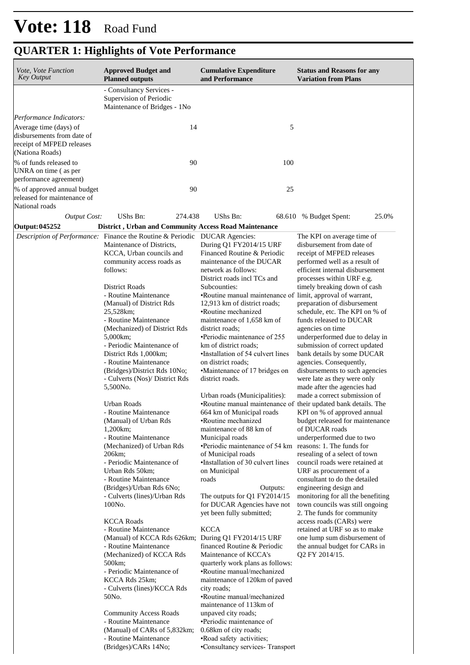| <i>Vote, Vote Function</i><br><b>Key Output</b>                                                      | <b>Approved Budget and</b><br><b>Planned outputs</b>                                                                                                                                                                                                                                                                                                  | <b>Cumulative Expenditure</b><br>and Performance                                                                                                                                                                                                                                                                                                                                                                                                            | <b>Status and Reasons for any</b><br><b>Variation from Plans</b>                                                                                                                                                                                                                                                                                                                                                                         |
|------------------------------------------------------------------------------------------------------|-------------------------------------------------------------------------------------------------------------------------------------------------------------------------------------------------------------------------------------------------------------------------------------------------------------------------------------------------------|-------------------------------------------------------------------------------------------------------------------------------------------------------------------------------------------------------------------------------------------------------------------------------------------------------------------------------------------------------------------------------------------------------------------------------------------------------------|------------------------------------------------------------------------------------------------------------------------------------------------------------------------------------------------------------------------------------------------------------------------------------------------------------------------------------------------------------------------------------------------------------------------------------------|
|                                                                                                      | - Consultancy Services -<br>Supervision of Periodic<br>Maintenance of Bridges - 1No                                                                                                                                                                                                                                                                   |                                                                                                                                                                                                                                                                                                                                                                                                                                                             |                                                                                                                                                                                                                                                                                                                                                                                                                                          |
| Performance Indicators:                                                                              |                                                                                                                                                                                                                                                                                                                                                       |                                                                                                                                                                                                                                                                                                                                                                                                                                                             |                                                                                                                                                                                                                                                                                                                                                                                                                                          |
| Average time (days) of<br>disbursements from date of<br>receipt of MFPED releases<br>(Nationa Roads) | 14                                                                                                                                                                                                                                                                                                                                                    | 5                                                                                                                                                                                                                                                                                                                                                                                                                                                           |                                                                                                                                                                                                                                                                                                                                                                                                                                          |
| % of funds released to<br>UNRA on time (as per<br>performance agreement)                             | 90                                                                                                                                                                                                                                                                                                                                                    | 100                                                                                                                                                                                                                                                                                                                                                                                                                                                         |                                                                                                                                                                                                                                                                                                                                                                                                                                          |
| % of approved annual budget<br>released for maintenance of<br>National roads                         | 90                                                                                                                                                                                                                                                                                                                                                    | 25                                                                                                                                                                                                                                                                                                                                                                                                                                                          |                                                                                                                                                                                                                                                                                                                                                                                                                                          |
| <b>Output Cost:</b>                                                                                  | UShs Bn:<br>274.438                                                                                                                                                                                                                                                                                                                                   | <b>UShs Bn:</b>                                                                                                                                                                                                                                                                                                                                                                                                                                             | 25.0%<br>68.610 % Budget Spent:                                                                                                                                                                                                                                                                                                                                                                                                          |
| Output: 045252                                                                                       | District, Urban and Community Access Road Maintenance                                                                                                                                                                                                                                                                                                 |                                                                                                                                                                                                                                                                                                                                                                                                                                                             |                                                                                                                                                                                                                                                                                                                                                                                                                                          |
|                                                                                                      | <i>Description of Performance:</i> Finance the Routine & Periodic DUCAR Agencies:<br>Maintenance of Districts,<br>KCCA, Urban councils and<br>community access roads as<br>follows:<br>District Roads<br>- Routine Maintenance<br>(Manual) of District Rds<br>25,528km;                                                                               | During Q1 FY2014/15 URF<br>Financed Routine & Periodic<br>maintenance of the DUCAR<br>network as follows:<br>District roads incl TCs and<br>Subcounties:<br>•Routine manual maintenance of limit, approval of warrant,<br>12,913 km of district roads;<br>•Routine mechanized                                                                                                                                                                               | The KPI on average time of<br>disbursement from date of<br>receipt of MFPED releases<br>performed well as a result of<br>efficient internal disbursement<br>processes within URF e.g.<br>timely breaking down of cash<br>preparation of disbursement<br>schedule, etc. The KPI on % of                                                                                                                                                   |
|                                                                                                      | - Routine Maintenance<br>(Mechanized) of District Rds<br>5,000km;<br>- Periodic Maintenance of<br>District Rds 1,000km;<br>- Routine Maintenance<br>(Bridges)/District Rds 10No;<br>- Culverts (Nos)/ District Rds<br>5,500No.                                                                                                                        | maintenance of 1,658 km of<br>district roads;<br>•Periodic maintenance of 255<br>km of district roads;<br>•Installation of 54 culvert lines<br>on district roads;<br>•Maintenance of 17 bridges on<br>district roads.                                                                                                                                                                                                                                       | funds released to DUCAR<br>agencies on time<br>underperformed due to delay in<br>submission of correct updated<br>bank details by some DUCAR<br>agencies. Consequently,<br>disbursements to such agencies<br>were late as they were only<br>made after the agencies had                                                                                                                                                                  |
|                                                                                                      | Urban Roads<br>- Routine Maintenance<br>(Manual) of Urban Rds<br>1,200 km;<br>- Routine Maintenance<br>(Mechanized) of Urban Rds<br>206km;<br>- Periodic Maintenance of<br>Urban Rds 50km;<br>- Routine Maintenance<br>(Bridges)/Urban Rds 6No;<br>- Culverts (lines)/Urban Rds<br>100No.<br><b>KCCA Roads</b>                                        | Urban roads (Municipalities):<br>•Routine manual maintenance of their updated bank details. The<br>664 km of Municipal roads<br>•Routine mechanized<br>maintenance of 88 km of<br>Municipal roads<br>•Periodic maintenance of 54 km reasons: 1. The funds for<br>of Municipal roads<br>•Installation of 30 culvert lines<br>on Municipal<br>roads<br>Outputs:<br>The outputs for $Q1$ FY2014/15<br>for DUCAR Agencies have not<br>yet been fully submitted; | made a correct submission of<br>KPI on % of approved annual<br>budget released for maintenance<br>of DUCAR roads<br>underperformed due to two<br>resealing of a select of town<br>council roads were retained at<br>URF as procurement of a<br>consultant to do the detailed<br>engineering design and<br>monitoring for all the benefiting<br>town councils was still ongoing<br>2. The funds for community<br>access roads (CARs) were |
|                                                                                                      | - Routine Maintenance<br>(Manual) of KCCA Rds 626km; During Q1 FY2014/15 URF<br>- Routine Maintenance<br>(Mechanized) of KCCA Rds<br>500km;<br>- Periodic Maintenance of<br>KCCA Rds 25km;<br>- Culverts (lines)/KCCA Rds<br>50No.<br><b>Community Access Roads</b><br>- Routine Maintenance<br>(Manual) of CARs of 5,832km;<br>- Routine Maintenance | <b>KCCA</b><br>financed Routine & Periodic<br>Maintenance of KCCA's<br>quarterly work plans as follows:<br>•Routine manual/mechanized<br>maintenance of 120km of paved<br>city roads;<br>•Routine manual/mechanized<br>maintenance of 113km of<br>unpaved city roads;<br>•Periodic maintenance of<br>0.68km of city roads;<br>•Road safety activities;                                                                                                      | retained at URF so as to make<br>one lump sum disbursement of<br>the annual budget for CARs in<br>Q2 FY 2014/15.                                                                                                                                                                                                                                                                                                                         |

• Consultancy services- Transport

## **QUARTER 1: Highlights of Vote Performance**

(Bridges)/CARs 14No;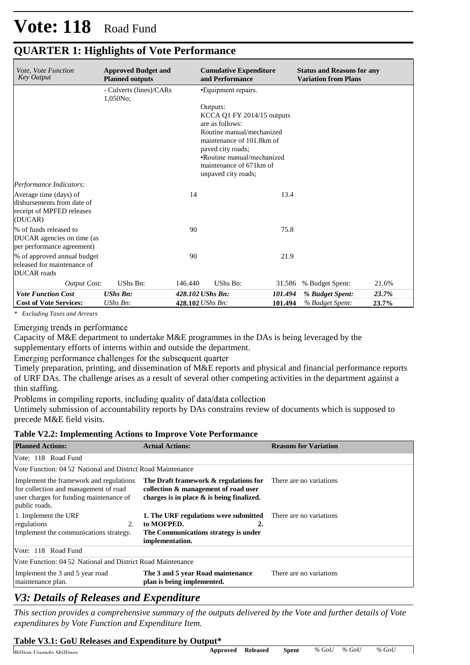# **Vote: 118** Road Fund

| <i>Vote, Vote Function</i><br><b>Key Output</b>                                              | <b>Approved Budget and</b><br><b>Planned outputs</b> |         | <b>Cumulative Expenditure</b><br>and Performance                                                                                                                                                                           |         | <b>Status and Reasons for any</b><br><b>Variation from Plans</b> |       |
|----------------------------------------------------------------------------------------------|------------------------------------------------------|---------|----------------------------------------------------------------------------------------------------------------------------------------------------------------------------------------------------------------------------|---------|------------------------------------------------------------------|-------|
|                                                                                              | - Culverts (lines)/CARs<br>$1,050No$ ;               |         | •Equipment repairs.                                                                                                                                                                                                        |         |                                                                  |       |
|                                                                                              |                                                      |         | Outputs:<br>$KCCA$ Q1 FY 2014/15 outputs<br>are as follows:<br>Routine manual/mechanized<br>maintenance of 101.8km of<br>paved city roads;<br>•Routine manual/mechanized<br>maintenance of 671km of<br>unpaved city roads; |         |                                                                  |       |
| Performance Indicators:                                                                      |                                                      |         |                                                                                                                                                                                                                            |         |                                                                  |       |
| Average time (days) of<br>disbursements from date of<br>receipt of MPFED releases<br>(DUCAR) |                                                      | 14      |                                                                                                                                                                                                                            | 13.4    |                                                                  |       |
| % of funds released to<br>DUCAR agencies on time (as<br>per performance agreement)           |                                                      | 90      |                                                                                                                                                                                                                            | 75.8    |                                                                  |       |
| % of approved annual budget<br>released for maintenance of<br><b>DUCAR</b> roads             |                                                      | 90      |                                                                                                                                                                                                                            | 21.9    |                                                                  |       |
| <b>Output Cost:</b>                                                                          | UShs Bn:                                             | 146.440 | UShs Bn:                                                                                                                                                                                                                   | 31.586  | % Budget Spent:                                                  | 21.6% |
| <b>Vote Function Cost</b>                                                                    | <b>UShs Bn:</b>                                      |         | 428.102 UShs Bn:                                                                                                                                                                                                           | 101.494 | % Budget Spent:                                                  | 23.7% |
| <b>Cost of Vote Services:</b>                                                                | $UShs Bn$ :                                          |         | 428.102 UShs Bn:                                                                                                                                                                                                           | 101.494 | % Budget Spent:                                                  | 23.7% |

## **QUARTER 1: Highlights of Vote Performance**

*\* Excluding Taxes and Arrears*

#### Emerging trends in performance

Capacity of M&E department to undertake M&E programmes in the DAs is being leveraged by the supplementary efforts of interns within and outside the department.

Emerging performance challenges for the subsequent quarter

Timely preparation, printing, and dissemination of M&E reports and physical and financial performance reports of URF DAs. The challenge arises as a result of several other competing activities in the department against a thin staffing.

Problems in compiling reports, including quality of data/data collection

Untimely submission of accountability reports by DAs constrains review of documents which is supposed to precede M&E field visits.

#### **Table V2.2: Implementing Actions to Improve Vote Performance**

| <b>Planned Actions:</b>                                                                                                                      | <b>Actual Actions:</b>                                                                                                                        | <b>Reasons for Variation</b> |
|----------------------------------------------------------------------------------------------------------------------------------------------|-----------------------------------------------------------------------------------------------------------------------------------------------|------------------------------|
| Vote: 118 Road Fund                                                                                                                          |                                                                                                                                               |                              |
| Vote Function: 04.52 National and District Road Maintenance                                                                                  |                                                                                                                                               |                              |
| Implement the framework and regulations<br>for collection and management of road<br>user charges for funding maintenance of<br>public roads. | The Draft framework & regulations for<br>collection & management of road user<br>charges is in place $\&$ is being finalized.                 | There are no variations      |
| 1. Implement the URF<br>regulations<br>2.<br>Implement the communications strategy.                                                          | <b>1. The URF regulations were submitted</b> There are no variations<br>to MOFPED.<br>The Communications strategy is under<br>implementation. |                              |
| Vote: 118 Road Fund                                                                                                                          |                                                                                                                                               |                              |
| Vote Function: 04.52 National and District Road Maintenance                                                                                  |                                                                                                                                               |                              |
| Implement the 3 and 5 year road<br>maintenance plan.                                                                                         | The 3 and 5 year Road maintenance<br>plan is being implemented.                                                                               | There are no variations.     |

## *V3: Details of Releases and Expenditure*

*This section provides a comprehensive summary of the outputs delivered by the Vote and further details of Vote expenditures by Vote Function and Expenditure Item.*

### **Table V3.1: GoU Releases and Expenditure by Output\***

| $R_i11_i$<br>.11<br>$\sim$ 1<br>$\lim$<br>taanda<br>$\sqrt{a}$ | Annroved | ''eleased | Spent | $\%$<br>GOT | $\sigma$<br>$\epsilon$ $\sigma$<br>'' | $\%$<br>Gol |
|----------------------------------------------------------------|----------|-----------|-------|-------------|---------------------------------------|-------------|
|                                                                |          |           |       |             |                                       |             |